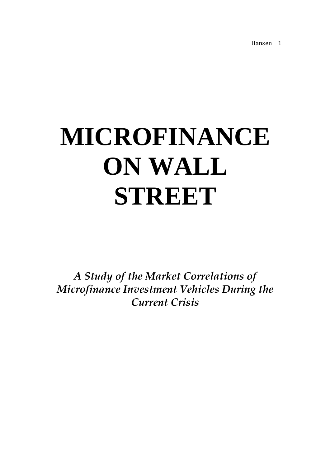# **MICROFINANCE ON WALL STREET**

*A Study of the Market Correlations of Microfinance Investment Vehicles During the Current Crisis*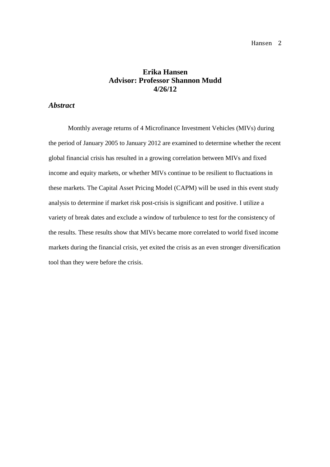## **Erika Hansen Advisor: Professor Shannon Mudd 4/26/12**

#### *Abstract*

Monthly average returns of 4 Microfinance Investment Vehicles (MIVs) during the period of January 2005 to January 2012 are examined to determine whether the recent global financial crisis has resulted in a growing correlation between MIVs and fixed income and equity markets, or whether MIVs continue to be resilient to fluctuations in these markets. The Capital Asset Pricing Model (CAPM) will be used in this event study analysis to determine if market risk post-crisis is significant and positive. I utilize a variety of break dates and exclude a window of turbulence to test for the consistency of the results. These results show that MIVs became more correlated to world fixed income markets during the financial crisis, yet exited the crisis as an even stronger diversification tool than they were before the crisis.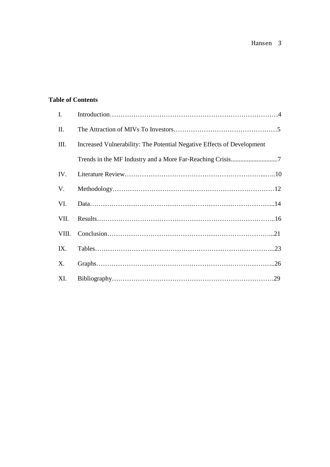### **Table of Contents**

| $\mathbf{I}$ . |                                                                        |
|----------------|------------------------------------------------------------------------|
| П.             |                                                                        |
| III.           | Increased Vulnerability: The Potential Negative Effects of Development |
|                |                                                                        |
| IV.            |                                                                        |
| V.             |                                                                        |
| VI.            |                                                                        |
| VII.           |                                                                        |
| VIII.          |                                                                        |
| IX.            |                                                                        |
| X.             |                                                                        |
| XI.            |                                                                        |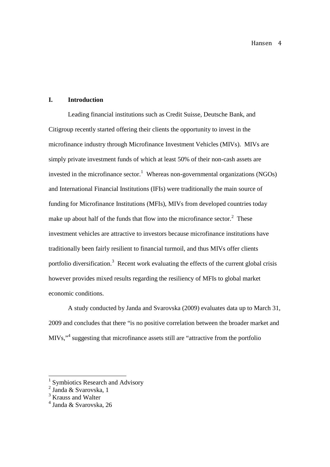#### **I. Introduction**

Leading financial institutions such as Credit Suisse, Deutsche Bank, and Citigroup recently started offering their clients the opportunity to invest in the microfinance industry through Microfinance Investment Vehicles (MIVs). MIVs are simply private investment funds of which at least 50% of their non-cash assets are invested in the microfinance sector.<sup>1</sup> Whereas non-governmental organizations (NGOs) and International Financial Institutions (IFIs) were traditionally the main source of funding for Microfinance Institutions (MFIs), MIVs from developed countries today make up about half of the funds that flow into the microfinance sector. $2$  These investment vehicles are attractive to investors because microfinance institutions have traditionally been fairly resilient to financial turmoil, and thus MIVs offer clients portfolio diversification.<sup>3</sup> Recent work evaluating the effects of the current global crisis however provides mixed results regarding the resiliency of MFIs to global market economic conditions.

A study conducted by Janda and Svarovska (2009) evaluates data up to March 31, 2009 and concludes that there "is no positive correlation between the broader market and MIVs,"<sup>4</sup> suggesting that microfinance assets still are "attractive from the portfolio

<sup>&</sup>lt;sup>1</sup> Symbiotics Research and Advisory

<sup>2</sup> Janda & Svarovska, 1

<sup>&</sup>lt;sup>3</sup> Krauss and Walter

<sup>4</sup> Janda & Svarovska, 26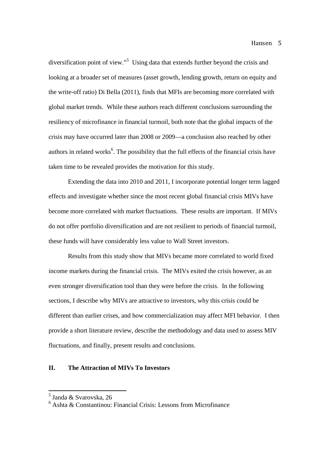diversification point of view."<sup>5</sup> Using data that extends further beyond the crisis and looking at a broader set of measures (asset growth, lending growth, return on equity and the write-off ratio) Di Bella (2011), finds that MFIs are becoming more correlated with global market trends. While these authors reach different conclusions surrounding the resiliency of microfinance in financial turmoil, both note that the global impacts of the crisis may have occurred later than 2008 or 2009—a conclusion also reached by other authors in related works<sup>6</sup>. The possibility that the full effects of the financial crisis have taken time to be revealed provides the motivation for this study.

Extending the data into 2010 and 2011, I incorporate potential longer term lagged effects and investigate whether since the most recent global financial crisis MIVs have become more correlated with market fluctuations. These results are important. If MIVs do not offer portfolio diversification and are not resilient to periods of financial turmoil, these funds will have considerably less value to Wall Street investors.

Results from this study show that MIVs became more correlated to world fixed income markets during the financial crisis. The MIVs exited the crisis however, as an even stronger diversification tool than they were before the crisis. In the following sections, I describe why MIVs are attractive to investors, why this crisis could be different than earlier crises, and how commercialization may affect MFI behavior. I then provide a short literature review, describe the methodology and data used to assess MIV fluctuations, and finally, present results and conclusions.

#### **II. The Attraction of MIVs To Investors**

<sup>5</sup> Janda & Svarovska, 26

<sup>&</sup>lt;sup>6</sup> Ashta & Constantinou: Financial Crisis: Lessons from Microfinance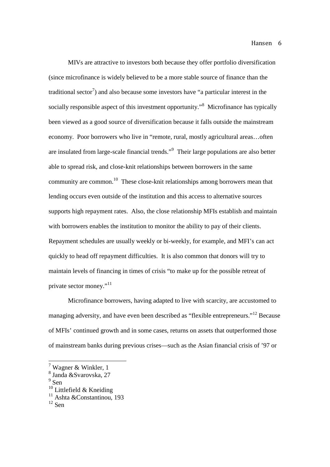MIVs are attractive to investors both because they offer portfolio diversification (since microfinance is widely believed to be a more stable source of finance than the traditional sector<sup>7</sup>) and also because some investors have "a particular interest in the socially responsible aspect of this investment opportunity.<sup>8</sup> Microfinance has typically been viewed as a good source of diversification because it falls outside the mainstream economy. Poor borrowers who live in "remote, rural, mostly agricultural areas…often are insulated from large-scale financial trends."<sup>9</sup> Their large populations are also better able to spread risk, and close-knit relationships between borrowers in the same community are common.<sup>10</sup> These close-knit relationships among borrowers mean that lending occurs even outside of the institution and this access to alternative sources supports high repayment rates. Also, the close relationship MFIs establish and maintain with borrowers enables the institution to monitor the ability to pay of their clients. Repayment schedules are usually weekly or bi-weekly, for example, and MFI's can act quickly to head off repayment difficulties. It is also common that donors will try to maintain levels of financing in times of crisis "to make up for the possible retreat of private sector money."<sup>11</sup>

Microfinance borrowers, having adapted to live with scarcity, are accustomed to managing adversity, and have even been described as "flexible entrepreneurs."<sup>12</sup> Because of MFIs' continued growth and in some cases, returns on assets that outperformed those of mainstream banks during previous crises—such as the Asian financial crisis of '97 or

<sup>9</sup> Sen

<sup>7</sup> Wagner & Winkler, 1

<sup>8</sup> Janda &Svarovska, 27

 $10$  Littlefield & Kneiding

<sup>&</sup>lt;sup>11</sup> Ashta &Constantinou, 193

 $12$  Sen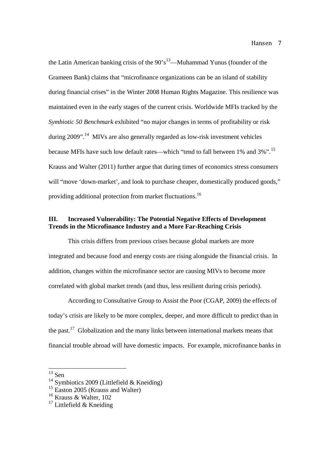the Latin American banking crisis of the  $90's^{13}$ —Muhammad Yunus (founder of the Grameen Bank) claims that "microfinance organizations can be an island of stability during financial crises" in the Winter 2008 Human Rights Magazine. This resilience was maintained even in the early stages of the current crisis. Worldwide MFIs tracked by the *Symbiotic 50 Benchmark* exhibited "no major changes in terms of profitability or risk during 2009".<sup>14</sup> MIVs are also generally regarded as low-risk investment vehicles because MFIs have such low default rates—which "tend to fall between 1% and 3%".<sup>15</sup> Krauss and Walter (2011) further argue that during times of economics stress consumers will "move 'down-market', and look to purchase cheaper, domestically produced goods," providing additional protection from market fluctuations.<sup>16</sup>

#### **III. Increased Vulnerability: The Potential Negative Effects of Development Trends in the Microfinance Industry and a More Far-Reaching Crisis**

This crisis differs from previous crises because global markets are more integrated and because food and energy costs are rising alongside the financial crisis. In addition, changes within the microfinance sector are causing MIVs to become more correlated with global market trends (and thus, less resilient during crisis periods).

According to Consultative Group to Assist the Poor (CGAP, 2009) the effects of today's crisis are likely to be more complex, deeper, and more difficult to predict than in the past.<sup>17</sup> Globalization and the many links between international markets means that financial trouble abroad will have domestic impacts. For example, microfinance banks in

 $13$  Sen

<sup>&</sup>lt;sup>14</sup> Symbiotics 2009 (Littlefield  $&$  Kneiding)

<sup>&</sup>lt;sup>15</sup> Easton 2005 (Krauss and Walter)

<sup>&</sup>lt;sup>16</sup> Krauss & Walter, 102

 $17$  Littlefield & Kneiding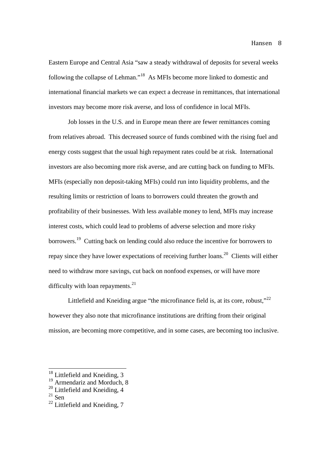Eastern Europe and Central Asia "saw a steady withdrawal of deposits for several weeks following the collapse of Lehman."<sup>18</sup> As MFIs become more linked to domestic and international financial markets we can expect a decrease in remittances, that international investors may become more risk averse, and loss of confidence in local MFIs.

Job losses in the U.S. and in Europe mean there are fewer remittances coming from relatives abroad. This decreased source of funds combined with the rising fuel and energy costs suggest that the usual high repayment rates could be at risk. International investors are also becoming more risk averse, and are cutting back on funding to MFIs. MFIs (especially non deposit-taking MFIs) could run into liquidity problems, and the resulting limits or restriction of loans to borrowers could threaten the growth and profitability of their businesses. With less available money to lend, MFIs may increase interest costs, which could lead to problems of adverse selection and more risky borrowers.<sup>19</sup> Cutting back on lending could also reduce the incentive for borrowers to repay since they have lower expectations of receiving further loans.<sup>20</sup> Clients will either need to withdraw more savings, cut back on nonfood expenses, or will have more difficulty with loan repayments.<sup>21</sup>

Littlefield and Kneiding argue "the microfinance field is, at its core, robust," $^{22}$ however they also note that microfinance institutions are drifting from their original mission, are becoming more competitive, and in some cases, are becoming too inclusive.

<sup>&</sup>lt;sup>18</sup> Littlefield and Kneiding, 3

<sup>&</sup>lt;sup>19</sup> Armendariz and Morduch, 8

<sup>&</sup>lt;sup>20</sup> Littlefield and Kneiding, 4

 $21 \overline{S}$ en

 $22$  Littlefield and Kneiding, 7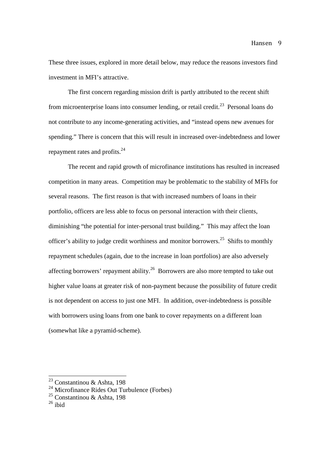These three issues, explored in more detail below, may reduce the reasons investors find investment in MFI's attractive.

The first concern regarding mission drift is partly attributed to the recent shift from microenterprise loans into consumer lending, or retail credit.<sup>23</sup> Personal loans do not contribute to any income-generating activities, and "instead opens new avenues for spending." There is concern that this will result in increased over-indebtedness and lower repayment rates and profits.<sup>24</sup>

The recent and rapid growth of microfinance institutions has resulted in increased competition in many areas. Competition may be problematic to the stability of MFIs for several reasons. The first reason is that with increased numbers of loans in their portfolio, officers are less able to focus on personal interaction with their clients, diminishing "the potential for inter-personal trust building." This may affect the loan officer's ability to judge credit worthiness and monitor borrowers.<sup>25</sup> Shifts to monthly repayment schedules (again, due to the increase in loan portfolios) are also adversely affecting borrowers' repayment ability.<sup>26</sup> Borrowers are also more tempted to take out higher value loans at greater risk of non-payment because the possibility of future credit is not dependent on access to just one MFI. In addition, over-indebtedness is possible with borrowers using loans from one bank to cover repayments on a different loan (somewhat like a pyramid-scheme).

<sup>23</sup> Constantinou & Ashta, 198

 $24$  Microfinance Rides Out Turbulence (Forbes)

<sup>&</sup>lt;sup>25</sup> Constantinou & Ashta, 198

 $26$  ibid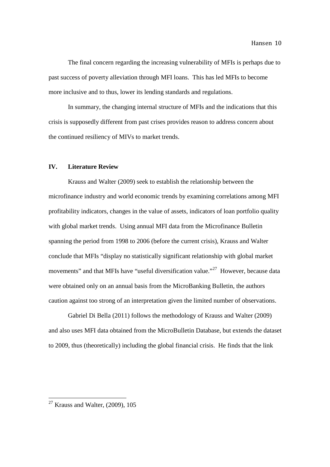The final concern regarding the increasing vulnerability of MFIs is perhaps due to past success of poverty alleviation through MFI loans. This has led MFIs to become more inclusive and to thus, lower its lending standards and regulations.

In summary, the changing internal structure of MFIs and the indications that this crisis is supposedly different from past crises provides reason to address concern about the continued resiliency of MIVs to market trends.

#### **IV. Literature Review**

Krauss and Walter (2009) seek to establish the relationship between the microfinance industry and world economic trends by examining correlations among MFI profitability indicators, changes in the value of assets, indicators of loan portfolio quality with global market trends. Using annual MFI data from the Microfinance Bulletin spanning the period from 1998 to 2006 (before the current crisis), Krauss and Walter conclude that MFIs "display no statistically significant relationship with global market movements" and that MFIs have "useful diversification value."<sup>27</sup> However, because data were obtained only on an annual basis from the MicroBanking Bulletin, the authors caution against too strong of an interpretation given the limited number of observations.

Gabriel Di Bella (2011) follows the methodology of Krauss and Walter (2009) and also uses MFI data obtained from the MicroBulletin Database, but extends the dataset to 2009, thus (theoretically) including the global financial crisis. He finds that the link

 $27$  Krauss and Walter, (2009), 105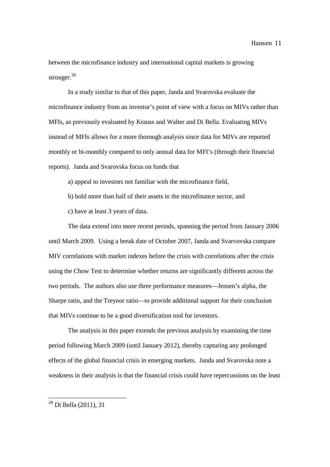between the microfinance industry and international capital markets is growing stronger.<sup>28</sup>

In a study similar to that of this paper, Janda and Svarovska evaluate the microfinance industry from an investor's point of view with a focus on MIVs rather than MFIs, as previously evaluated by Krauss and Walter and Di Bella. Evaluating MIVs instead of MFIs allows for a more thorough analysis since data for MIVs are reported monthly or bi-monthly compared to only annual data for MFI's (through their financial reports). Janda and Svarovska focus on funds that

a) appeal to investors not familiar with the microfinance field,

b) hold more than half of their assets in the microfinance sector, and

c) have at least 3 years of data.

The data extend into more recent periods, spanning the period from January 2006 until March 2009. Using a break date of October 2007, Janda and Svarvovska compare MIV correlations with market indexes before the crisis with correlations after the crisis using the Chow Test to determine whether returns are significantly different across the two periods. The authors also use three performance measures—Jensen's alpha, the Sharpe ratio, and the Treynor ratio—to provide additional support for their conclusion that MIVs continue to be a good diversification tool for investors.

The analysis in this paper extends the previous analysis by examining the time period following March 2009 (until January 2012), thereby capturing any prolonged effects of the global financial crisis in emerging markets. Janda and Svarovska note a weakness in their analysis is that the financial crisis could have repercussions on the least

<sup>28</sup> Di Bella (2011), 31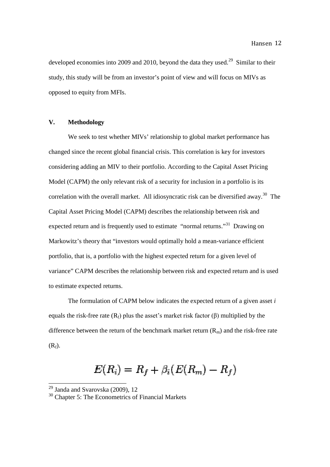developed economies into 2009 and 2010, beyond the data they used.<sup>29</sup> Similar to their study, this study will be from an investor's point of view and will focus on MIVs as opposed to equity from MFIs.

#### **V. Methodology**

We seek to test whether MIVs' relationship to global market performance has changed since the recent global financial crisis. This correlation is key for investors We seek to test whether MIVs' relationship to global market performance has<br>changed since the recent global financial crisis. This correlation is key for investors<br>considering adding an MIV to their portfolio. According to Model (CAPM) the only relevant risk of a security for inclusion in a portfolio is its correlation with the overall market. All idiosyncratic risk can be diversified away.<sup>30</sup> The Capital Asset Pricing Model (CAPM) describes the relationship between risk and expected return and is frequently used to estimate "normal returns."<sup>31</sup> Drawing on Markowitz's theory that "investors would optimally hold a mean-variance efficient Markowitz's theory that "investors would optimally hold a mean-variance efficient<br>portfolio, that is, a portfolio with the highest expected return for a given level of variance" CAPM describes the relationship between risk and expected return and is used to estimate expected returns.

The formulation of CAPM below indicates the expected return of a given asset *i* The formulation of CAPM below indicates the expected return of a given asset<br>equals the risk-free rate  $(R_f)$  plus the asset's market risk factor  $(\beta)$  multiplied by the difference between the return of the benchmark market return  $(R_m)$  and the risk-free rate  $(R_f)$ .

# $E(R_i) = R_f + \beta_i (E(R_m) - R_f)$

 $29$  Janda and Svarovska (2009), 12

 $30$  Chapter 5: The Econometrics of Financial Markets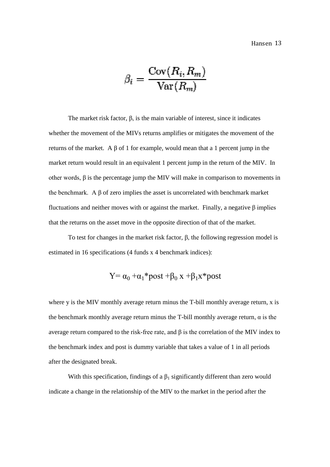$$
\beta_i = \frac{\text{Cov}(R_i,R_m)}{\text{Var}(R_m)}
$$

The market risk factor,  $\beta$ , is the main variable of interest, since it indicates whether the movement of the MIVs returns amplifies or mitigates the movement of the returns of the market. A β of 1 for example, would mean that a 1 percent jump in the market return would result in an equivalent 1 percent jump in the return of the MIV. In other words,  $\beta$  is the percentage jump the MIV will make in comparison to movements in the benchmark. A  $\beta$  of zero implies the asset is uncorrelated with benchmark market fluctuations and neither moves with or against the market. Finally, a negative β implies that the returns on the asset move in the opposite direction of that of the market.

To test for changes in the market risk factor,  $\beta$ , the following regression model is estimated in 16 specifications (4 funds x 4 benchmark indices):

$$
Y = \alpha_0 + \alpha_1 * post + \beta_0 x + \beta_1 x * post
$$

where y is the MIV monthly average return minus the  $T$ -bill monthly average return, x is the benchmark monthly average return minus the T T-bill monthly average return average return compared to the risk -free rate, and β is the correlation of the MIV index to the benchmark index and post is dummy variable that takes a value of 1 in all periods after the designated break. ection of that of the market.<br>
β, the following regression model is<br>
rk indices):<br>  $+\beta_1 x * post$ <br>
ne T-bill monthly average return, x is<br>
bill monthly average return, α is the

With this specification, findings of a  $\beta_1$  significantly different than zero would indicate a change in the relationship of the MIV to the market in the period after the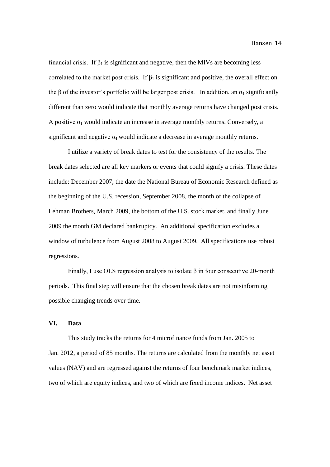financial crisis. If  $\beta_1$  is significant and negative, then the MIVs are becoming less correlated to the market post crisis. If  $\beta_1$  is significant and positive, the overall effect on the β of the investor's portfolio will be larger post crisis. In addition, an  $\alpha_1$  significantly different than zero would indicate that monthly average returns have changed post crisis. A positive  $\alpha_1$  would indicate an increase in average monthly returns. Conversely, a significant and negative  $\alpha_1$  would indicate a decrease in average monthly returns.

I utilize a variety of break dates to test for the consistency of the results. The break dates selected are all key markers or events that could signify a crisis. These dates include: December 2007, the date the National Bureau of Economic Research defined as the beginning of the U.S. recession, September 2008, the month of the collapse of Lehman Brothers, March 2009, the bottom of the U.S. stock market, and finally June 2009 the month GM declared bankruptcy. An additional specification excludes a window of turbulence from August 2008 to August 2009. All specifications use robust regressions.

Finally, I use OLS regression analysis to isolate  $\beta$  in four consecutive 20-month periods. This final step will ensure that the chosen break dates are not misinforming possible changing trends over time.

#### **VI. Data**

This study tracks the returns for 4 microfinance funds from Jan. 2005 to Jan. 2012, a period of 85 months. The returns are calculated from the monthly net asset values (NAV) and are regressed against the returns of four benchmark market indices, two of which are equity indices, and two of which are fixed income indices. Net asset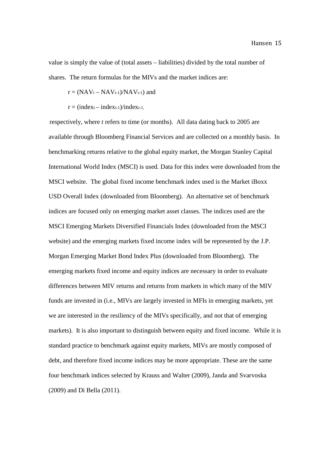value is simply the value of (total assets – liabilities) divided by the total number of shares. The return formulas for the MIVs and the market indices are:

$$
r = (NAV_t - NAV_{t-1})/NAV_{t-1})
$$
 and

 $r = (index_{t-1})/index_{t-1}$ ,

respectively, where *t* refers to time (or months). All data dating back to 2005 are available through Bloomberg Financial Services and are collected on a monthly basis. In benchmarking returns relative to the global equity market, the Morgan Stanley Capital International World Index (MSCI) is used. Data for this index were downloaded from the MSCI website. The global fixed income benchmark index used is the Market iBoxx USD Overall Index (downloaded from Bloomberg). An alternative set of benchmark indices are focused only on emerging market asset classes. The indices used are the MSCI Emerging Markets Diversified Financials Index (downloaded from the MSCI website) and the emerging markets fixed income index will be represented by the J.P. Morgan Emerging Market Bond Index Plus (downloaded from Bloomberg). The emerging markets fixed income and equity indices are necessary in order to evaluate differences between MIV returns and returns from markets in which many of the MIV funds are invested in (i.e., MIVs are largely invested in MFIs in emerging markets, yet we are interested in the resiliency of the MIVs specifically, and not that of emerging markets). It is also important to distinguish between equity and fixed income. While it is standard practice to benchmark against equity markets, MIVs are mostly composed of debt, and therefore fixed income indices may be more appropriate. These are the same four benchmark indices selected by Krauss and Walter (2009), Janda and Svarvoska (2009) and Di Bella (2011).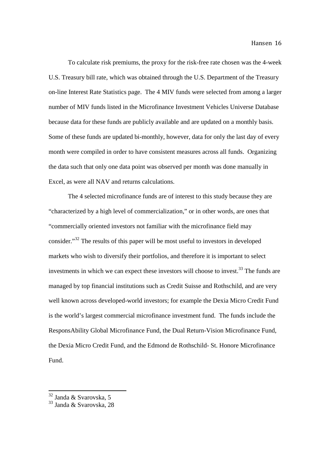To calculate risk premiums, the proxy for the risk-free rate chosen was the 4-week U.S. Treasury bill rate, which was obtained through the U.S. Department of the Treasury on-line Interest Rate Statistics page. The 4 MIV funds were selected from among a larger number of MIV funds listed in the Microfinance Investment Vehicles Universe Database because data for these funds are publicly available and are updated on a monthly basis. Some of these funds are updated bi-monthly, however, data for only the last day of every month were compiled in order to have consistent measures across all funds. Organizing the data such that only one data point was observed per month was done manually in Excel, as were all NAV and returns calculations.

The 4 selected microfinance funds are of interest to this study because they are "characterized by a high level of commercialization," or in other words, are ones that "commercially oriented investors not familiar with the microfinance field may consider."<sup>32</sup> The results of this paper will be most useful to investors in developed markets who wish to diversify their portfolios, and therefore it is important to select investments in which we can expect these investors will choose to invest.<sup>33</sup> The funds are managed by top financial institutions such as Credit Suisse and Rothschild, and are very well known across developed-world investors; for example the Dexia Micro Credit Fund is the world's largest commercial microfinance investment fund. The funds include the ResponsAbility Global Microfinance Fund, the Dual Return-Vision Microfinance Fund, the Dexia Micro Credit Fund, and the Edmond de Rothschild- St. Honore Microfinance Fund.

 $^{32}$  Janda & Svarovska, 5

<sup>&</sup>lt;sup>33</sup> Janda & Svarovska, 28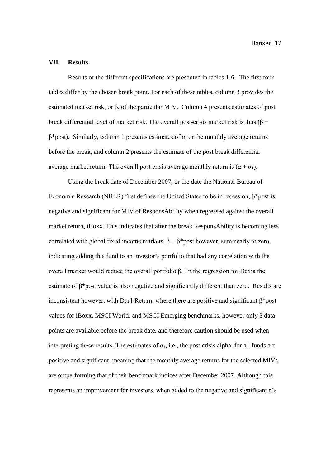#### **VII. Results**

Results of the different specifications are presented in tables 1-6. The first four tables differ by the chosen break point. For each of these tables, column 3 provides the estimated market risk, or β, of the particular MIV. Column 4 presents estimates of post break differential level of market risk. The overall post-crisis market risk is thus ( $\beta$  + β\*post). Similarly, column 1 presents estimates of α, or the monthly average returns before the break, and column 2 presents the estimate of the post break differential average market return. The overall post crisis average monthly return is  $(\alpha + \alpha_1)$ .

Using the break date of December 2007, or the date the National Bureau of Economic Research (NBER) first defines the United States to be in recession, β\*post is negative and significant for MIV of ResponsAbility when regressed against the overall market return, iBoxx. This indicates that after the break ResponsAbility is becoming less correlated with global fixed income markets.  $\beta + \beta^*$ post however, sum nearly to zero, indicating adding this fund to an investor's portfolio that had any correlation with the overall market would reduce the overall portfolio β. In the regression for Dexia the estimate of β\*post value is also negative and significantly different than zero. Results are inconsistent however, with Dual-Return, where there are positive and significant  $\beta^*$ post values for iBoxx, MSCI World, and MSCI Emerging benchmarks, however only 3 data points are available before the break date, and therefore caution should be used when interpreting these results. The estimates of  $\alpha_1$ , i.e., the post crisis alpha, for all funds are positive and significant, meaning that the monthly average returns for the selected MIVs are outperforming that of their benchmark indices after December 2007. Although this represents an improvement for investors, when added to the negative and significant  $\alpha$ 's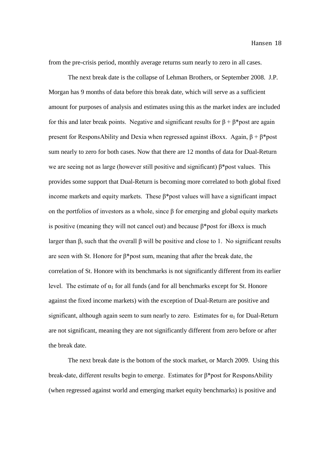from the pre-crisis period, monthly average returns sum nearly to zero in all cases.

The next break date is the collapse of Lehman Brothers, or September 2008. J.P. Morgan has 9 months of data before this break date, which will serve as a sufficient amount for purposes of analysis and estimates using this as the market index are included for this and later break points. Negative and significant results for  $\beta + \beta^*$ post are again present for ResponsAbility and Dexia when regressed against iBoxx. Again,  $\beta + \beta^*$ post sum nearly to zero for both cases. Now that there are 12 months of data for Dual-Return we are seeing not as large (however still positive and significant) β\*post values. This provides some support that Dual-Return is becoming more correlated to both global fixed income markets and equity markets. These  $\beta^*$ post values will have a significant impact on the portfolios of investors as a whole, since β for emerging and global equity markets is positive (meaning they will not cancel out) and because  $\beta^*$ post for iBoxx is much larger than β, such that the overall β will be positive and close to 1. No significant results are seen with St. Honore for β\*post sum, meaning that after the break date, the correlation of St. Honore with its benchmarks is not significantly different from its earlier level. The estimate of  $\alpha_1$  for all funds (and for all benchmarks except for St. Honore against the fixed income markets) with the exception of Dual-Return are positive and significant, although again seem to sum nearly to zero. Estimates for  $\alpha_1$  for Dual-Return are not significant, meaning they are not significantly different from zero before or after the break date.

The next break date is the bottom of the stock market, or March 2009. Using this break-date, different results begin to emerge. Estimates for β\*post for ResponsAbility (when regressed against world and emerging market equity benchmarks) is positive and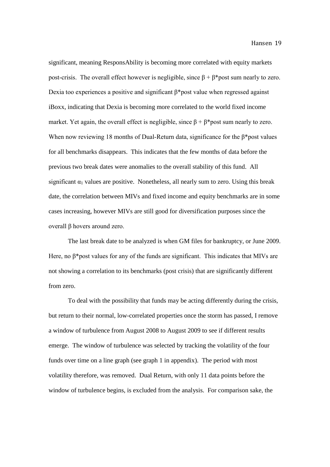significant, meaning ResponsAbility is becoming more correlated with equity markets post-crisis. The overall effect however is negligible, since  $\beta + \beta^*$ post sum nearly to zero. Dexia too experiences a positive and significant  $\beta^*$  post value when regressed against iBoxx, indicating that Dexia is becoming more correlated to the world fixed income market. Yet again, the overall effect is negligible, since  $\beta + \beta^*$ post sum nearly to zero. When now reviewing 18 months of Dual-Return data, significance for the  $\beta$ \*post values for all benchmarks disappears. This indicates that the few months of data before the previous two break dates were anomalies to the overall stability of this fund. All significant  $\alpha_1$  values are positive. Nonetheless, all nearly sum to zero. Using this break date, the correlation between MIVs and fixed income and equity benchmarks are in some cases increasing, however MIVs are still good for diversification purposes since the overall β hovers around zero.

The last break date to be analyzed is when GM files for bankruptcy, or June 2009. Here, no  $\beta$ \*post values for any of the funds are significant. This indicates that MIVs are not showing a correlation to its benchmarks (post crisis) that are significantly different from zero.

To deal with the possibility that funds may be acting differently during the crisis, but return to their normal, low-correlated properties once the storm has passed, I remove a window of turbulence from August 2008 to August 2009 to see if different results emerge. The window of turbulence was selected by tracking the volatility of the four funds over time on a line graph (see graph 1 in appendix). The period with most volatility therefore, was removed. Dual Return, with only 11 data points before the window of turbulence begins, is excluded from the analysis. For comparison sake, the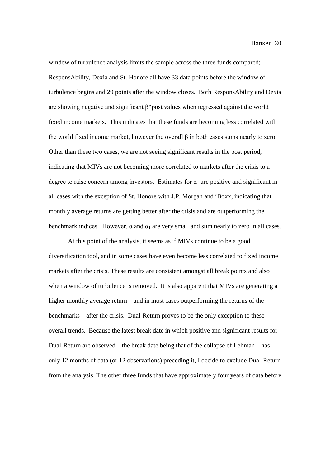window of turbulence analysis limits the sample across the three funds compared; ResponsAbility, Dexia and St. Honore all have 33 data points before the window of turbulence begins and 29 points after the window closes. Both ResponsAbility and Dexia are showing negative and significant β\*post values when regressed against the world fixed income markets. This indicates that these funds are becoming less correlated with the world fixed income market, however the overall β in both cases sums nearly to zero. Other than these two cases, we are not seeing significant results in the post period, indicating that MIVs are not becoming more correlated to markets after the crisis to a degree to raise concern among investors. Estimates for  $\alpha_1$  are positive and significant in all cases with the exception of St. Honore with J.P. Morgan and iBoxx, indicating that monthly average returns are getting better after the crisis and are outperforming the benchmark indices. However,  $\alpha$  and  $\alpha_1$  are very small and sum nearly to zero in all cases.

At this point of the analysis, it seems as if MIVs continue to be a good diversification tool, and in some cases have even become less correlated to fixed income markets after the crisis. These results are consistent amongst all break points and also when a window of turbulence is removed. It is also apparent that MIVs are generating a higher monthly average return—and in most cases outperforming the returns of the benchmarks—after the crisis. Dual-Return proves to be the only exception to these overall trends. Because the latest break date in which positive and significant results for Dual-Return are observed—the break date being that of the collapse of Lehman—has only 12 months of data (or 12 observations) preceding it, I decide to exclude Dual-Return from the analysis. The other three funds that have approximately four years of data before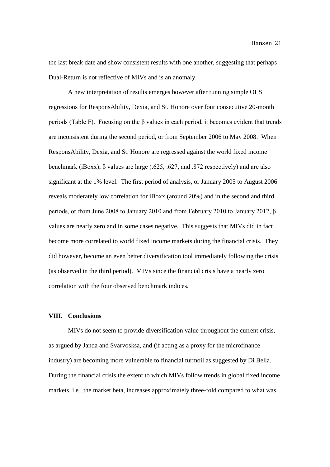the last break date and show consistent results with one another, suggesting that perhaps Dual-Return is not reflective of MIVs and is an anomaly.

A new interpretation of results emerges however after running simple OLS regressions for ResponsAbility, Dexia, and St. Honore over four consecutive 20-month periods (Table F). Focusing on the β values in each period, it becomes evident that trends are inconsistent during the second period, or from September 2006 to May 2008. When ResponsAbility, Dexia, and St. Honore are regressed against the world fixed income benchmark (iBoxx), β values are large (.625, .627, and .872 respectively) and are also significant at the 1% level. The first period of analysis, or January 2005 to August 2006 reveals moderately low correlation for iBoxx (around 20%) and in the second and third periods, or from June 2008 to January 2010 and from February 2010 to January 2012, β values are nearly zero and in some cases negative. This suggests that MIVs did in fact become more correlated to world fixed income markets during the financial crisis. They did however, become an even better diversification tool immediately following the crisis (as observed in the third period). MIVs since the financial crisis have a nearly zero correlation with the four observed benchmark indices.

#### **VIII. Conclusions**

MIVs do not seem to provide diversification value throughout the current crisis, as argued by Janda and Svarvosksa, and (if acting as a proxy for the microfinance industry) are becoming more vulnerable to financial turmoil as suggested by Di Bella. During the financial crisis the extent to which MIVs follow trends in global fixed income markets, i.e., the market beta, increases approximately three-fold compared to what was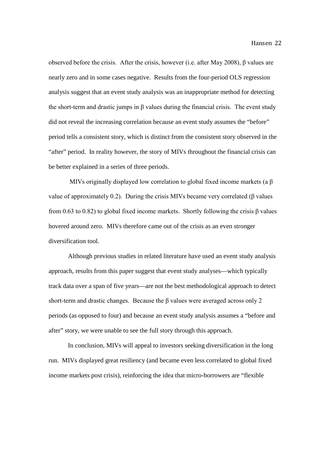observed before the crisis. After the crisis, however (i.e. after May 2008), β values are nearly zero and in some cases negative. Results from the four-period OLS regression analysis suggest that an event study analysis was an inappropriate method for detecting the short-term and drastic jumps in  $\beta$  values during the financial crisis. The event study did not reveal the increasing correlation because an event study assumes the "before" period tells a consistent story, which is distinct from the consistent story observed in the "after" period. In reality however, the story of MIVs throughout the financial crisis can be better explained in a series of three periods.

MIVs originally displayed low correlation to global fixed income markets (a β value of approximately 0.2). During the crisis MIVs became very correlated (β values from 0.63 to 0.82) to global fixed income markets. Shortly following the crisis  $\beta$  values hovered around zero. MIVs therefore came out of the crisis as an even stronger diversification tool.

Although previous studies in related literature have used an event study analysis approach, results from this paper suggest that event study analyses—which typically track data over a span of five years—are not the best methodological approach to detect short-term and drastic changes. Because the  $\beta$  values were averaged across only 2 periods (as opposed to four) and because an event study analysis assumes a "before and after" story, we were unable to see the full story through this approach.

In conclusion, MIVs will appeal to investors seeking diversification in the long run. MIVs displayed great resiliency (and became even less correlated to global fixed income markets post crisis), reinforcing the idea that micro-borrowers are "flexible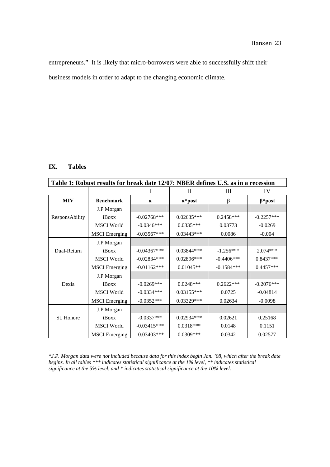entrepreneurs." It is likely that micro-borrowers were able to successfully shift their business models in order to adapt to the changing economic climate.

#### **IX. Tables**

| Table 1: Robust results for break date 12/07: NBER defines U.S. as in a recession |                      |               |                 |              |               |  |
|-----------------------------------------------------------------------------------|----------------------|---------------|-----------------|--------------|---------------|--|
|                                                                                   |                      |               | П               | Ш            | IV            |  |
| <b>MIV</b>                                                                        | <b>Benchmark</b>     | $\alpha$      | $\alpha^*$ post | β            | $\beta$ *post |  |
|                                                                                   | J.P Morgan           |               |                 |              |               |  |
| ResponsAbility                                                                    | iBoxx                | $-0.02768***$ | $0.02635***$    | $0.2458***$  | $-0.2257***$  |  |
|                                                                                   | <b>MSCI</b> World    | $-0.0346***$  | $0.0335***$     | 0.03773      | $-0.0269$     |  |
|                                                                                   | <b>MSCI</b> Emerging | $-0.03567***$ | $0.03443***$    | 0.0086       | $-0.004$      |  |
|                                                                                   | J.P Morgan           |               |                 |              |               |  |
| Dual-Return                                                                       | iBoxx                | $-0.04367***$ | $0.03844***$    | $-1.256***$  | $2.074***$    |  |
|                                                                                   | <b>MSCI</b> World    | $-0.02834***$ | 0.02896***      | $-0.4406***$ | $0.8437***$   |  |
|                                                                                   | <b>MSCI</b> Emerging | $-0.01162***$ | $0.01045**$     | $-0.1584***$ | $0.4457***$   |  |
|                                                                                   | J.P Morgan           |               |                 |              |               |  |
| Dexia                                                                             | iBoxx                | $-0.0269***$  | $0.0248***$     | $0.2622***$  | $-0.2076***$  |  |
|                                                                                   | <b>MSCI</b> World    | $-0.0334***$  | $0.03155***$    | 0.0725       | $-0.04814$    |  |
|                                                                                   | <b>MSCI</b> Emerging | $-0.0352***$  | 0.03329***      | 0.02634      | $-0.0098$     |  |
|                                                                                   | J.P Morgan           |               |                 |              |               |  |
| St. Honore                                                                        | iBoxx                | $-0.0337***$  | $0.02934***$    | 0.02621      | 0.25168       |  |
|                                                                                   | <b>MSCI</b> World    | $-0.03415***$ | $0.0318***$     | 0.0148       | 0.1151        |  |
|                                                                                   | <b>MSCI</b> Emerging | $-0.03403***$ | 0.0309***       | 0.0342       | 0.02577       |  |

*\*J.P. Morgan data were not included because data for this index begin Jan. '08, which after the break date begins. In all tables \*\*\* indicates statistical significance at the 1% level, \*\* indicates statistical significance at the 5% level, and \* indicates statistical significance at the 10% level.*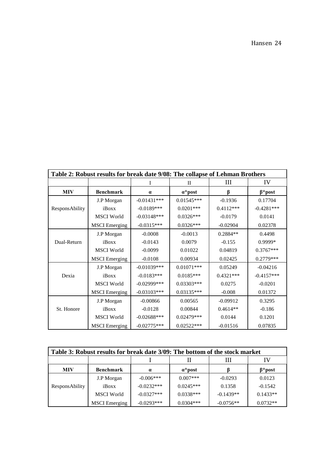| Table 2: Robust results for break date 9/08: The collapse of Lehman Brothers |                      |                |                 |             |               |  |
|------------------------------------------------------------------------------|----------------------|----------------|-----------------|-------------|---------------|--|
|                                                                              |                      | Ι              | П               | Ш           | IV            |  |
| <b>MIV</b><br><b>Benchmark</b>                                               |                      | $\alpha$       | $\alpha^*$ post | ß           | $\beta$ *post |  |
|                                                                              | J.P Morgan           | $-0.01431***$  | $0.01545***$    | $-0.1936$   | 0.17704       |  |
| ResponsAbility                                                               | iBoxx                | $-0.0189***$   | $0.0201***$     | $0.4112***$ | $-0.4281***$  |  |
|                                                                              | <b>MSCI</b> World    | $-0.03148$ *** | $0.0326***$     | $-0.0179$   | 0.0141        |  |
|                                                                              | <b>MSCI</b> Emerging | $-0.0315***$   | $0.0326***$     | $-0.02904$  | 0.02378       |  |
|                                                                              | J.P Morgan           | $-0.0008$      | $-0.0013$       | 0.2884**    | 0.4498        |  |
| Dual-Return                                                                  | iBoxx                | $-0.0143$      | 0.0079          | $-0.155$    | 0.9999*       |  |
|                                                                              | <b>MSCI</b> World    | $-0.0099$      | 0.01022         | 0.04819     | $0.3767***$   |  |
|                                                                              | <b>MSCI</b> Emerging | $-0.0108$      | 0.00934         | 0.02425     | 0.2779***     |  |
|                                                                              | J.P Morgan           | $-0.01039***$  | $0.01071***$    | 0.05249     | $-0.04216$    |  |
| Dexia                                                                        | iBoxx                | $-0.0183***$   | $0.0185***$     | $0.4321***$ | $-0.4157***$  |  |
|                                                                              | <b>MSCI</b> World    | $-0.02999$ *** | $0.03303***$    | 0.0275      | $-0.0201$     |  |
|                                                                              | <b>MSCI</b> Emerging | $-0.03103***$  | $0.03135***$    | $-0.008$    | 0.01372       |  |
|                                                                              | J.P Morgan           | $-0.00866$     | 0.00565         | $-0.09912$  | 0.3295        |  |
| St. Honore                                                                   | iBoxx                | $-0.0128$      | 0.00844         | $0.4614**$  | $-0.186$      |  |
|                                                                              | <b>MSCI</b> World    | $-0.02688***$  | $0.02479***$    | 0.0144      | 0.1201        |  |
|                                                                              | <b>MSCI</b> Emerging | $-0.02775***$  | $0.02522***$    | $-0.01516$  | 0.07835       |  |

| Table 3: Robust results for break date 3/09: The bottom of the stock market |                      |              |             |             |               |  |  |
|-----------------------------------------------------------------------------|----------------------|--------------|-------------|-------------|---------------|--|--|
|                                                                             |                      | Ш<br>IV      |             |             |               |  |  |
| <b>MIV</b><br><b>Benchmark</b><br>$\alpha^*$ post<br>$\alpha$               |                      |              |             |             | $\beta$ *post |  |  |
|                                                                             | J.P Morgan           | $-0.006***$  | $0.007***$  | $-0.0293$   | 0.0123        |  |  |
| ResponsAbility                                                              | iBoxx                | $-0.0232***$ | $0.0245***$ | 0.1358      | $-0.1542$     |  |  |
|                                                                             | <b>MSCI</b> World    | $-0.0327***$ | $0.0338***$ | $-0.1439**$ | $0.1433**$    |  |  |
|                                                                             | <b>MSCI</b> Emerging | $-0.0293***$ | $0.0304***$ | $-0.0756**$ | $0.0732**$    |  |  |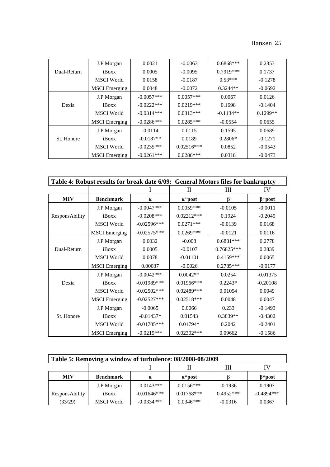|             | J.P Morgan           | 0.0021       | $-0.0063$             | $0.6868***$ | 0.2353     |
|-------------|----------------------|--------------|-----------------------|-------------|------------|
| Dual-Return | iBoxx                | 0.0005       | $-0.0095$             | $0.7919***$ | 0.1737     |
|             | <b>MSCI</b> World    | 0.0158       | $-0.0187$             | $0.53***$   | $-0.1278$  |
|             | <b>MSCI</b> Emerging | 0.0048       | $-0.0072$             | $0.3244**$  | $-0.0692$  |
|             | J.P Morgan           | $-0.0057***$ | $0.0057***$<br>0.0067 |             | 0.0126     |
| Dexia       | iBoxx                | $-0.0222***$ | $0.0219***$           | 0.1698      | $-0.1404$  |
|             | <b>MSCI</b> World    | $-0.0314***$ | $0.0313***$           | $-0.1134**$ | $0.1299**$ |
|             | <b>MSCI</b> Emerging | $-0.0286***$ | $0.0285***$           | $-0.0554$   | 0.0655     |
|             | J.P Morgan           | $-0.0114$    | 0.0115                | 0.1595      | 0.0689     |
| St. Honore  | iBoxx                | $-0.0187**$  | 0.0189                | $0.2806*$   | $-0.1271$  |
|             | <b>MSCI</b> World    | $-0.0235***$ | $0.02516***$          | 0.0852      | $-0.0543$  |
|             | <b>MSCI</b> Emerging | $-0.0261***$ | $0.0286***$           | 0.0318      | $-0.0473$  |

| Table 4: Robust results for break date 6/09: General Motors files for bankruptcy |                      |                |                 |              |               |  |
|----------------------------------------------------------------------------------|----------------------|----------------|-----------------|--------------|---------------|--|
|                                                                                  |                      |                | П               | Ш            | IV            |  |
| <b>MIV</b>                                                                       | <b>Benchmark</b>     |                | $\alpha^*$ post | ß            | $\beta$ *post |  |
|                                                                                  | J.P Morgan           | $-0.0047***$   | $0.0059***$     | $-0.0105$    | $-0.0011$     |  |
| ResponsAbility                                                                   | iBoxx                | $-0.0208$ ***  | $0.02212***$    | 0.1924       | $-0.2049$     |  |
|                                                                                  | <b>MSCI</b> World    | $-0.02596***$  | $0.0271***$     | $-0.0139$    | 0.0168        |  |
|                                                                                  | <b>MSCI</b> Emerging | $-0.02575***$  | $0.0269***$     | $-0.0121$    | 0.0116        |  |
|                                                                                  | J.P Morgan           | 0.0032         | $-0.008$        | $0.6881***$  | 0.2778        |  |
| Dual-Return                                                                      | iBoxx                | 0.0005         | $-0.0107$       | $0.76825***$ | 0.2839        |  |
|                                                                                  | <b>MSCI</b> World    | 0.0078         | $-0.01101$      | $0.4159***$  | 0.0065        |  |
|                                                                                  | <b>MSCI</b> Emerging | 0.00037        | $-0.0026$       | $0.2785***$  | $-0.0177$     |  |
|                                                                                  | J.P Morgan           | $-0.0042***$   | $0.0042**$      | 0.0254       | $-0.01375$    |  |
| Dexia                                                                            | iBoxx                | $-0.01989$ *** | $0.01966$ ***   | $0.2243*$    | $-0.20108$    |  |
|                                                                                  | <b>MSCI</b> World    | $-0.02502***$  | $0.02489***$    | 0.01054      | 0.0049        |  |
|                                                                                  | <b>MSCI</b> Emerging | $-0.02527***$  | $0.02518***$    | 0.0048       | 0.0047        |  |
|                                                                                  | J.P Morgan           | $-0.0065$      | 0.0066          | 0.233        | $-0.1493$     |  |
| St. Honore                                                                       | iBoxx                | $-0.01437*$    | 0.01543         | 0.3839**     | $-0.4302$     |  |
|                                                                                  | <b>MSCI</b> World    | $-0.01705***$  | $0.01794*$      | 0.2042       | $-0.2401$     |  |
|                                                                                  | <b>MSCI</b> Emerging | $-0.0219***$   | $0.02302***$    | 0.09662      | $-0.1586$     |  |

| Table 5: Removing a window of turbulence: 08/2008-08/2009 |                   |                 |              |               |              |  |  |
|-----------------------------------------------------------|-------------------|-----------------|--------------|---------------|--------------|--|--|
| Ш<br>IV                                                   |                   |                 |              |               |              |  |  |
| <b>MIV</b><br><b>Benchmark</b><br>$\alpha$                |                   | $\alpha^*$ post |              | $\beta$ *post |              |  |  |
|                                                           | J.P Morgan        | $-0.0143***$    | $0.0156***$  | $-0.1936$     | 0.1907       |  |  |
| ResponsAbility                                            | iBoxx             | $-0.01646***$   | $0.01768***$ | $0.4952***$   | $-0.4894***$ |  |  |
| (33/29)                                                   | <b>MSCI</b> World | $-0.0334***$    | $0.0346***$  | $-0.0316$     | 0.0367       |  |  |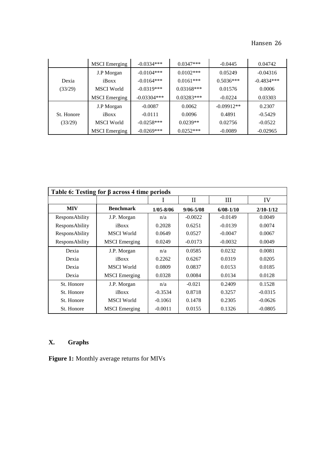|            | <b>MSCI</b> Emerging | $-0.0334***$  | $0.0347***$  | $-0.0445$    | 0.04742      |
|------------|----------------------|---------------|--------------|--------------|--------------|
|            | J.P Morgan           | $-0.0104***$  | $0.0102***$  | 0.05249      | $-0.04316$   |
| Dexia      | iBoxx                | $-0.0164***$  | $0.0161***$  | $0.5036***$  | $-0.4834***$ |
| (33/29)    | <b>MSCI</b> World    | $-0.0319***$  | $0.03168***$ | 0.01576      | 0.0006       |
|            | <b>MSCI</b> Emerging | $-0.03304***$ | $0.03283***$ | $-0.0224$    | 0.03303      |
|            | J.P Morgan           | $-0.0087$     | 0.0062       | $-0.09912**$ | 0.2307       |
| St. Honore | iBoxx                | $-0.0111$     | 0.0096       | 0.4891       | $-0.5429$    |
| (33/29)    | <b>MSCI</b> World    | $-0.0258***$  | $0.0239**$   | 0.02756      | $-0.0522$    |
|            | <b>MSCI</b> Emerging | $-0.0269***$  | $0.0252***$  | $-0.0089$    | $-0.02965$   |

| Table 6: Testing for $\beta$ across 4 time periods |                      |               |                  |               |               |  |  |
|----------------------------------------------------|----------------------|---------------|------------------|---------------|---------------|--|--|
|                                                    |                      |               | $\overline{\Pi}$ | Ш             | IV            |  |  |
| <b>MIV</b>                                         | <b>Benchmark</b>     | $1/05 - 8/06$ | $9/06 - 5/08$    | $6/08 - 1/10$ | $2/10 - 1/12$ |  |  |
| <b>ResponsAbility</b>                              | J.P. Morgan          | n/a           | $-0.0022$        | $-0.0149$     | 0.0049        |  |  |
| <b>ResponsAbility</b>                              | iBoxx                | 0.2028        | 0.6251           | $-0.0139$     | 0.0074        |  |  |
| <b>ResponsAbility</b>                              | <b>MSCI</b> World    | 0.0649        | 0.0527           | $-0.0047$     | 0.0067        |  |  |
| <b>ResponsAbility</b>                              | <b>MSCI</b> Emerging | 0.0249        | $-0.0173$        | $-0.0032$     | 0.0049        |  |  |
| Dexia                                              | J.P. Morgan          | n/a           | 0.0585           | 0.0232        | 0.0081        |  |  |
| Dexia                                              | iBoxx                | 0.2262        | 0.6267           | 0.0319        | 0.0205        |  |  |
| Dexia                                              | <b>MSCI</b> World    | 0.0809        | 0.0837           | 0.0153        | 0.0185        |  |  |
| Dexia                                              | <b>MSCI</b> Emerging | 0.0328        | 0.0084           | 0.0134        | 0.0128        |  |  |
| St. Honore                                         | J.P. Morgan          | n/a           | $-0.021$         | 0.2409        | 0.1528        |  |  |
| St. Honore                                         | iBoxx                | $-0.3534$     | 0.8718           | 0.3257        | $-0.0315$     |  |  |
| St. Honore                                         | <b>MSCI</b> World    | $-0.1061$     | 0.1478           | 0.2305        | $-0.0626$     |  |  |
| St. Honore                                         | <b>MSCI</b> Emerging | $-0.0011$     | 0.0155           | 0.1326        | $-0.0805$     |  |  |

# **X. Graphs**

**Figure 1:** Monthly average returns for MIVs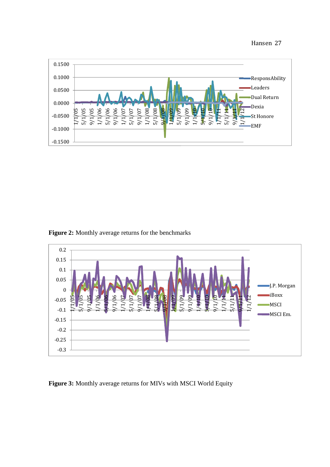

**Figure 2:** Monthly average returns for the benchmarks



**Figure 3:** Monthly average returns for MIVs with MSCI World Equity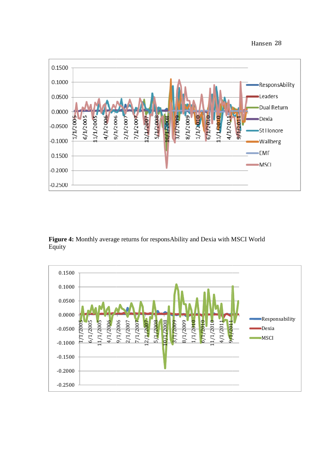

Figure 4: Monthly average returns for responsAbility and Dexia with MSCI World Equity

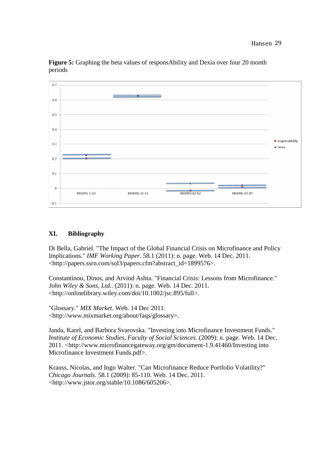

Figure 5: Graphing the beta values of responsAbility and Dexia over four 20 month periods

#### **XI. Bibliography**

Di Bella, Gabriel. "The Impact of the Global Financial Crisis on Microfinance and Policy Di Bella, Gabriel. "The Impact of the Global Financial Crisis on Microfinance Implications." *IMF Working Paper*. 58.1 (2011): n. page. Web. 14 Dec. 2011. <http://papers.ssrn.com/sol3/papers.cfm?abstract\_id=1899576>.

Constantinou, Dinos, and Arvind Ashta. "Financial Crisis: Lessons from Microfinance." *John Wiley & Sons, Ltd.*. (2011): n. page. Web. 14 Dec. 2011. <http://onlinelibrary.wiley.com/doi/10.1002/jsc.895/full>.

"Glossary." *MIX Market*. Web. 14 Dec 2011. <http://www.mixmarket.org/about/faqs/glossary>. ://www.mixmarket.org/about/faqs/glossary>.

Janda, Karel, and Barbora Svarovska. "Investing into Microfinance Investment Funds." *Institute of Economic Studies, Faculty of Social Sciences.* (2009): n. page. Web. 14 Dec. 2011. <http://www.microfinancegateway.org/gm/document-1.9.41460/Investing into Microfinance Investment Funds.pdf>. 2011. <http://www.microfinancegateway.org/gm/document-1.9.41460/Investing into<br>Microfinance Investment Funds.pdf>.<br>Krauss, Nicolas, and Ingo Walter. "Can Microfinance Reduce Portfolio Volatility?"

*Chicago Journals*. 58.1 (2009): 85 85-110. Web. 14 Dec. 2011. <http://www.jstor.org/stable/10.1086/605206>.